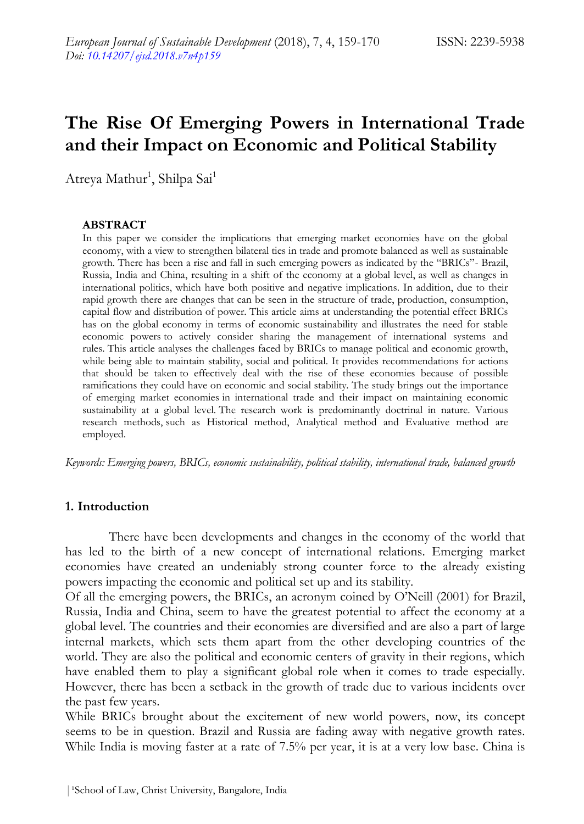# **The Rise Of Emerging Powers in International Trade and their Impact on Economic and Political Stability**

Atreya Mathur<sup>1</sup>, Shilpa Sai<sup>1</sup>

#### **ABSTRACT**

In this paper we consider the implications that emerging market economies have on the global economy, with a view to strengthen bilateral ties in trade and promote balanced as well as sustainable growth. There has been a rise and fall in such emerging powers as indicated by the "BRICs"- Brazil, Russia, India and China, resulting in a shift of the economy at a global level, as well as changes in international politics, which have both positive and negative implications. In addition, due to their rapid growth there are changes that can be seen in the structure of trade, production, consumption, capital flow and distribution of power. This article aims at understanding the potential effect BRICs has on the global economy in terms of economic sustainability and illustrates the need for stable economic powers to actively consider sharing the management of international systems and rules. This article analyses the challenges faced by BRICs to manage political and economic growth, while being able to maintain stability, social and political. It provides recommendations for actions that should be taken to effectively deal with the rise of these economies because of possible ramifications they could have on economic and social stability. The study brings out the importance of emerging market economies in international trade and their impact on maintaining economic sustainability at a global level. The research work is predominantly doctrinal in nature. Various research methods, such as Historical method, Analytical method and Evaluative method are employed.

*Keywords: Emerging powers, BRICs, economic sustainability, political stability, international trade, balanced growth*

#### **1. Introduction**

There have been developments and changes in the economy of the world that has led to the birth of a new concept of international relations. Emerging market economies have created an undeniably strong counter force to the already existing powers impacting the economic and political set up and its stability.

Of all the emerging powers, the BRICs, an acronym coined by O'Neill (2001) for Brazil, Russia, India and China, seem to have the greatest potential to affect the economy at a global level. The countries and their economies are diversified and are also a part of large internal markets, which sets them apart from the other developing countries of the world. They are also the political and economic centers of gravity in their regions, which have enabled them to play a significant global role when it comes to trade especially. However, there has been a setback in the growth of trade due to various incidents over the past few years.

While BRICs brought about the excitement of new world powers, now, its concept seems to be in question. Brazil and Russia are fading away with negative growth rates. While India is moving faster at a rate of 7.5% per year, it is at a very low base. China is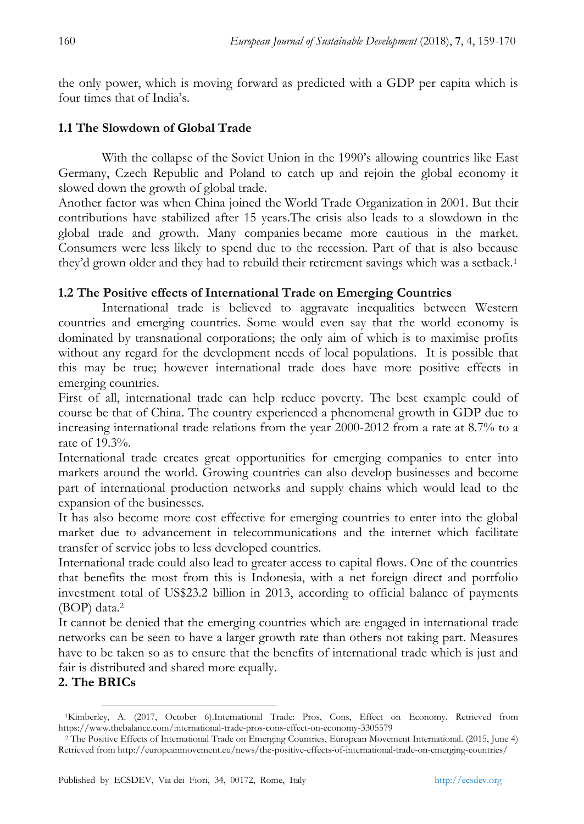the only power, which is moving forward as predicted with a GDP per capita which is four times that of India's.

## **1.1 The Slowdown of Global Trade**

With the collapse of the Soviet Union in the 1990's allowing countries like East Germany, Czech Republic and Poland to catch up and rejoin the global economy it slowed down the growth of global trade.

Another factor was when China joined the World Trade Organization in 2001. But their contributions have stabilized after 15 years.The crisis also leads to a slowdown in the global trade and growth. Many companies became more cautious in the market. Consumers were less likely to spend due to the recession. Part of that is also because they'd grown older and they had to rebuild their retirement savings which was a setback.<sup>1</sup>

## **1.2 The Positive effects of International Trade on Emerging Countries**

International trade is believed to aggravate inequalities between Western countries and emerging countries. Some would even say that the world economy is dominated by transnational corporations; the only aim of which is to maximise profits without any regard for the development needs of local populations. It is possible that this may be true; however international trade does have more positive effects in emerging countries.

First of all, international trade can help reduce poverty. The best example could of course be that of China. The country experienced a phenomenal growth in GDP due to increasing international trade relations from the year 2000-2012 from a rate at 8.7% to a rate of  $19.3\%$ 

International trade creates great opportunities for emerging companies to enter into markets around the world. Growing countries can also develop businesses and become part of international production networks and supply chains which would lead to the expansion of the businesses.

It has also become more cost effective for emerging countries to enter into the global market due to advancement in telecommunications and the internet which facilitate transfer of service jobs to less developed countries.

International trade could also lead to greater access to capital flows. One of the countries that benefits the most from this is Indonesia, with a net foreign direct and portfolio investment total of US\$23.2 billion in 2013, according to official balance of payments (BOP) data.<sup>2</sup>

It cannot be denied that the emerging countries which are engaged in international trade networks can be seen to have a larger growth rate than others not taking part. Measures have to be taken so as to ensure that the benefits of international trade which is just and fair is distributed and shared more equally.

# **2. The BRICs**

 $\ddot{\phantom{a}}$ 

<sup>1</sup>Kimberley, A. (2017, October 6).International Trade: Pros, Cons, Effect on Economy. Retrieved from https://www.thebalance.com/international-trade-pros-cons-effect-on-economy-3305579

<sup>&</sup>lt;sup>2</sup> The Positive Effects of International Trade on Emerging Countries, European Movement International. (2015, June 4) Retrieved from http://europeanmovement.eu/news/the-positive-effects-of-international-trade-on-emerging-countries/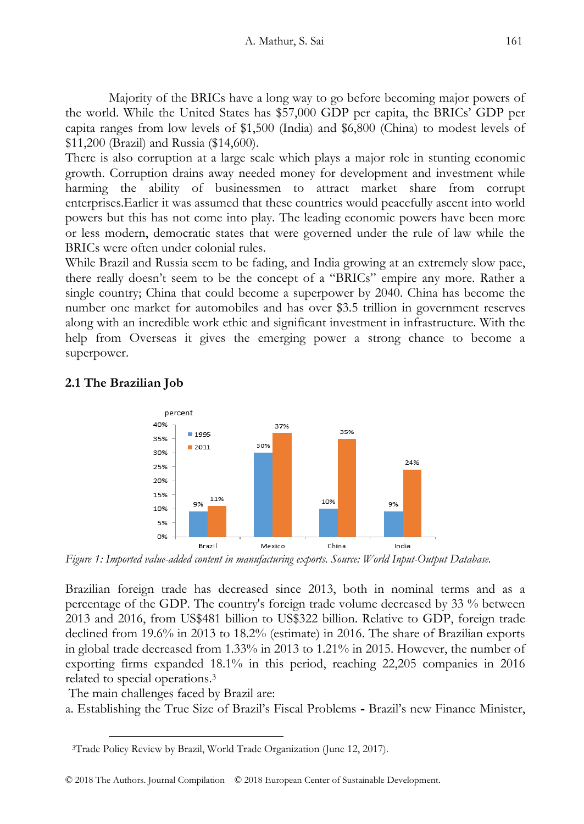Majority of the BRICs have a long way to go before becoming major powers of the world. While the United States has \$57,000 GDP per capita, the BRICs' GDP per capita ranges from low levels of \$1,500 (India) and \$6,800 (China) to modest levels of \$11,200 (Brazil) and Russia (\$14,600).

There is also corruption at a large scale which plays a major role in stunting economic growth. Corruption drains away needed money for development and investment while harming the ability of businessmen to attract market share from corrupt enterprises.Earlier it was assumed that these countries would peacefully ascent into world powers but this has not come into play. The leading economic powers have been more or less modern, democratic states that were governed under the rule of law while the BRICs were often under colonial rules.

While Brazil and Russia seem to be fading, and India growing at an extremely slow pace, there really doesn't seem to be the concept of a "BRICs" empire any more. Rather a single country; China that could become a superpower by 2040. China has become the number one market for automobiles and has over \$3.5 trillion in government reserves along with an incredible work ethic and significant investment in infrastructure. With the help from Overseas it gives the emerging power a strong chance to become a superpower.



# **2.1 The Brazilian Job**

*Figure 1: Imported value-added content in manufacturing exports. Source: World Input-Output Database.*

Brazilian foreign trade has decreased since 2013, both in nominal terms and as a percentage of the GDP. The country's foreign trade volume decreased by 33 % between 2013 and 2016, from US\$481 billion to US\$322 billion. Relative to GDP, foreign trade declined from 19.6% in 2013 to 18.2% (estimate) in 2016. The share of Brazilian exports in global trade decreased from 1.33% in 2013 to 1.21% in 2015. However, the number of exporting firms expanded 18.1% in this period, reaching 22,205 companies in 2016 related to special operations.<sup>3</sup>

The main challenges faced by Brazil are:

-

a. Establishing the True Size of Brazil's Fiscal Problems **-** Brazil's new Finance Minister,

<sup>3</sup>Trade Policy Review by Brazil, World Trade Organization (June 12, 2017).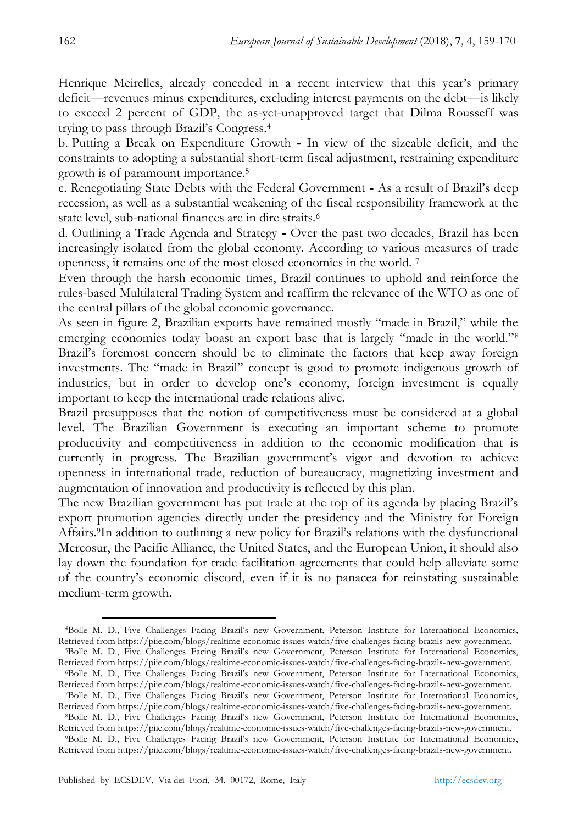Henrique Meirelles, already conceded in a recent interview that this year's primary deficit—revenues minus expenditures, excluding interest payments on the debt—is likely to exceed 2 percent of GDP, the as-yet-unapproved target that Dilma Rousseff was trying to pass through Brazil's Congress.<sup>4</sup>

b. Putting a Break on Expenditure Growth **-** In view of the sizeable deficit, and the constraints to adopting a substantial short-term fiscal adjustment, restraining expenditure growth is of paramount importance.<sup>5</sup>

c. Renegotiating State Debts with the Federal Government **-** As a result of Brazil's deep recession, as well as a substantial weakening of the fiscal responsibility framework at the state level, sub-national finances are in dire straits.<sup>6</sup>

d. Outlining a Trade Agenda and Strategy **-** Over the past two decades, Brazil has been increasingly isolated from the global economy. According to various measures of trade openness, it remains one of the most closed economies in the world. <sup>7</sup>

Even through the harsh economic times, Brazil continues to uphold and reinforce the rules-based Multilateral Trading System and reaffirm the relevance of the WTO as one of the central pillars of the global economic governance.

As seen in figure 2, Brazilian exports have remained mostly "made in Brazil," while the emerging economies today boast an export base that is largely "made in the world."<sup>8</sup> Brazil's foremost concern should be to eliminate the factors that keep away foreign investments. The "made in Brazil" concept is good to promote indigenous growth of industries, but in order to develop one's economy, foreign investment is equally important to keep the international trade relations alive.

Brazil presupposes that the notion of competitiveness must be considered at a global level. The Brazilian Government is executing an important scheme to promote productivity and competitiveness in addition to the economic modification that is currently in progress. The Brazilian government's vigor and devotion to achieve openness in international trade, reduction of bureaucracy, magnetizing investment and augmentation of innovation and productivity is reflected by this plan.

The new Brazilian government has put trade at the top of its agenda by placing Brazil's export promotion agencies directly under the presidency and the Ministry for Foreign Affairs.9In addition to outlining a new policy for Brazil's relations with the dysfunctional Mercosur, the Pacific Alliance, the United States, and the European Union, it should also lay down the foundation for trade facilitation agreements that could help alleviate some of the country's economic discord, even if it is no panacea for reinstating sustainable medium-term growth.

1

<sup>4</sup>Bolle M. D., Five Challenges Facing Brazil's new Government, Peterson Institute for International Economics, Retrieved from https://piie.com/blogs/realtime-economic-issues-watch/five-challenges-facing-brazils-new-government.

<sup>5</sup>Bolle M. D., Five Challenges Facing Brazil's new Government, Peterson Institute for International Economics, Retrieved from https://piie.com/blogs/realtime-economic-issues-watch/five-challenges-facing-brazils-new-government.

<sup>6</sup>Bolle M. D., Five Challenges Facing Brazil's new Government, Peterson Institute for International Economics, Retrieved from https://piie.com/blogs/realtime-economic-issues-watch/five-challenges-facing-brazils-new-government. <sup>7</sup>Bolle M. D., Five Challenges Facing Brazil's new Government, Peterson Institute for International Economics,

Retrieved from https://piie.com/blogs/realtime-economic-issues-watch/five-challenges-facing-brazils-new-government. <sup>8</sup>Bolle M. D., Five Challenges Facing Brazil's new Government, Peterson Institute for International Economics,

Retrieved from https://piie.com/blogs/realtime-economic-issues-watch/five-challenges-facing-brazils-new-government.

<sup>9</sup>Bolle M. D., Five Challenges Facing Brazil's new Government, Peterson Institute for International Economics, Retrieved from https://piie.com/blogs/realtime-economic-issues-watch/five-challenges-facing-brazils-new-government.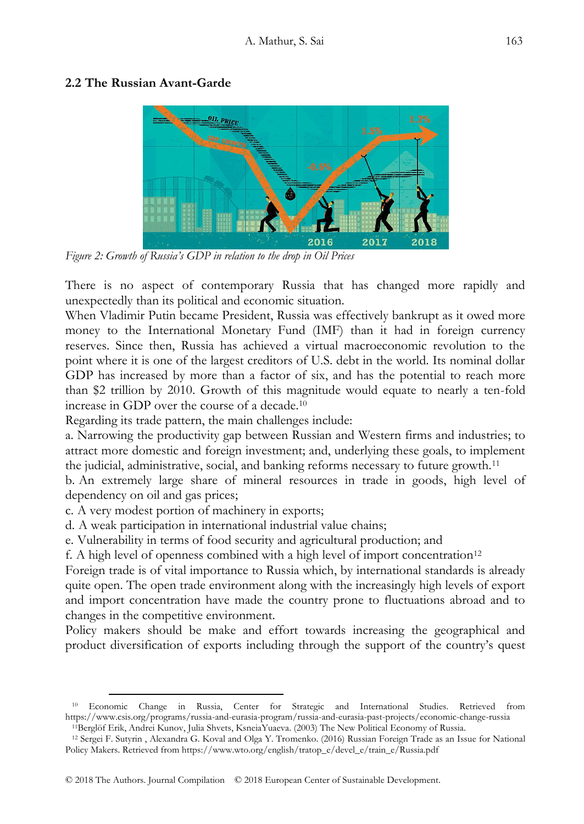#### **2.2 The Russian Avant-Garde**



*Figure 2: Growth of Russia's GDP in relation to the drop in Oil Prices*

There is no aspect of contemporary Russia that has changed more rapidly and unexpectedly than its political and economic situation.

When Vladimir Putin became President, Russia was effectively bankrupt as it owed more money to the International Monetary Fund (IMF) than it had in foreign currency reserves. Since then, Russia has achieved a virtual macroeconomic revolution to the point where it is one of the largest creditors of U.S. debt in the world. Its nominal dollar GDP has increased by more than a factor of six, and has the potential to reach more than \$2 trillion by 2010. Growth of this magnitude would equate to nearly a ten-fold increase in GDP over the course of a decade.<sup>10</sup>

Regarding its trade pattern, the main challenges include:

a. Narrowing the productivity gap between Russian and Western firms and industries; to attract more domestic and foreign investment; and, underlying these goals, to implement the judicial, administrative, social, and banking reforms necessary to future growth.<sup>11</sup>

b. An extremely large share of mineral resources in trade in goods, high level of dependency on oil and gas prices;

c. A very modest portion of machinery in exports;

-

d. A weak participation in international industrial value chains;

e. Vulnerability in terms of food security and agricultural production; and

f. A high level of openness combined with a high level of import concentration<sup>12</sup>

Foreign trade is of vital importance to Russia which, by international standards is already quite open. The open trade environment along with the increasingly high levels of export and import concentration have made the country prone to fluctuations abroad and to changes in the competitive environment.

Policy makers should be make and effort towards increasing the geographical and product diversification of exports including through the support of the country's quest

<sup>10</sup> Economic Change in Russia, Center for Strategic and International Studies. Retrieved from https://www.csis.org/programs/russia-and-eurasia-program/russia-and-eurasia-past-projects/economic-change-russia <sup>11</sup>Berglöf Erik, Andrei Kunov, Julia Shvets, KsneiaYuaeva. (2003) The New Political Economy of Russia.

<sup>12</sup> Sergei F. Sutyrin , Alexandra G. Koval and Olga Y. Tromenko. (2016) Russian Foreign Trade as an Issue for National Policy Makers. Retrieved from https://www.wto.org/english/tratop\_e/devel\_e/train\_e/Russia.pdf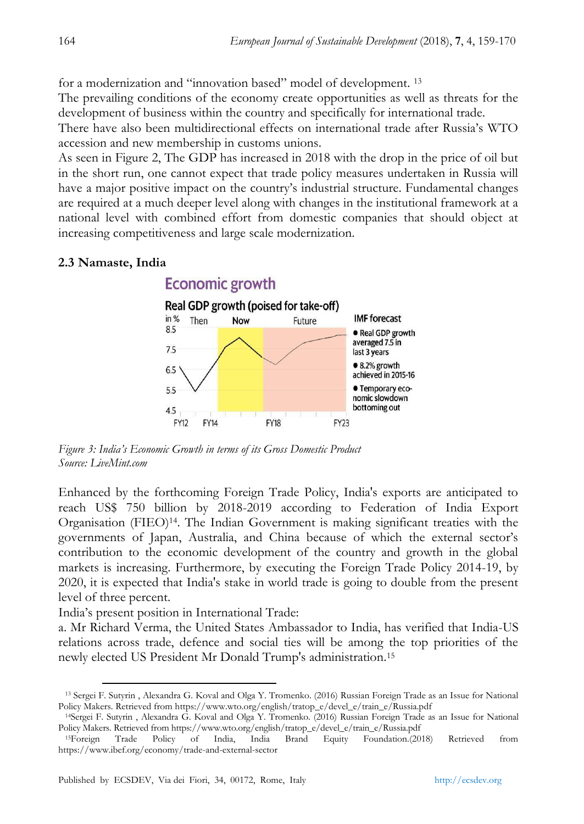for a modernization and "innovation based" model of development.<sup>13</sup>

The prevailing conditions of the economy create opportunities as well as threats for the development of business within the country and specifically for international trade.

There have also been multidirectional effects on international trade after Russia's WTO accession and new membership in customs unions.

As seen in Figure 2, The GDP has increased in 2018 with the drop in the price of oil but in the short run, one cannot expect that trade policy measures undertaken in Russia will have a major positive impact on the country's industrial structure. Fundamental changes are required at a much deeper level along with changes in the institutional framework at a national level with combined effort from domestic companies that should object at increasing competitiveness and large scale modernization.

## **2.3 Namaste, India**



*Figure 3: India's Economic Growth in terms of its Gross Domestic Product Source: LiveMint.com*

Enhanced by the forthcoming Foreign Trade Policy, India's exports are anticipated to reach US\$ 750 billion by 2018-2019 according to Federation of India Export Organisation (FIEO)14. The Indian Government is making significant treaties with the governments of Japan, Australia, and China because of which the external sector's contribution to the economic development of the country and growth in the global markets is increasing. Furthermore, by executing the Foreign Trade Policy 2014-19, by 2020, it is expected that India's stake in world trade is going to double from the present level of three percent.

India's present position in International Trade:

a. Mr Richard Verma, the United States Ambassador to India, has verified that India-US relations across trade, defence and social ties will be among the top priorities of the newly elected US President Mr Donald Trump's administration.<sup>15</sup>

 $\ddot{\phantom{a}}$ <sup>13</sup> Sergei F. Sutyrin , Alexandra G. Koval and Olga Y. Tromenko. (2016) Russian Foreign Trade as an Issue for National Policy Makers. Retrieved from https://www.wto.org/english/tratop\_e/devel\_e/train\_e/Russia.pdf

<sup>14</sup>Sergei F. Sutyrin , Alexandra G. Koval and Olga Y. Tromenko. (2016) Russian Foreign Trade as an Issue for National Policy Makers. Retrieved from https://www.wto.org/english/tratop\_e/devel\_e/train\_e/Russia.pdf

<sup>15</sup>Foreign Trade Policy of India, India Brand Equity Foundation.(2018) Retrieved from https://www.ibef.org/economy/trade-and-external-sector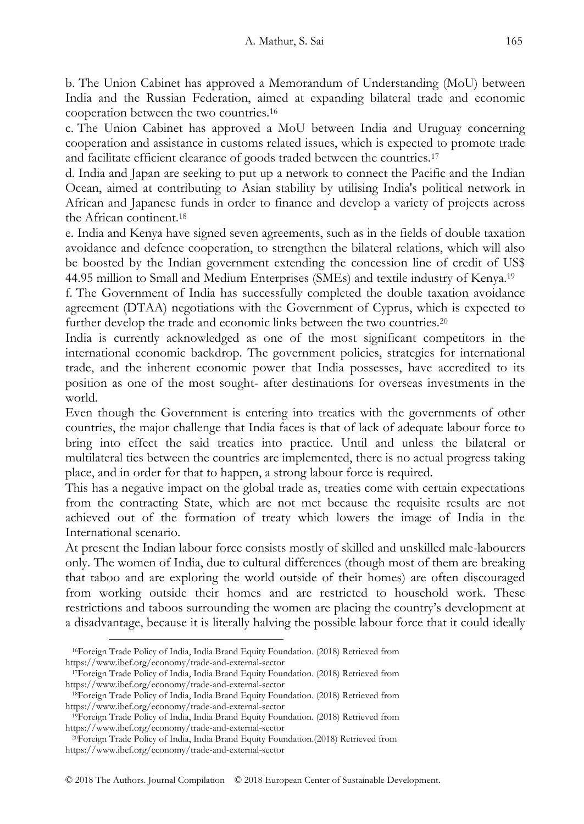b. The Union Cabinet has approved a Memorandum of Understanding (MoU) between India and the Russian Federation, aimed at expanding bilateral trade and economic cooperation between the two countries.<sup>16</sup>

c. The Union Cabinet has approved a MoU between India and Uruguay concerning cooperation and assistance in customs related issues, which is expected to promote trade and facilitate efficient clearance of goods traded between the countries.<sup>17</sup>

d. India and Japan are seeking to put up a network to connect the Pacific and the Indian Ocean, aimed at contributing to Asian stability by utilising India's political network in African and Japanese funds in order to finance and develop a variety of projects across the African continent.<sup>18</sup>

e. India and Kenya have signed seven agreements, such as in the fields of double taxation avoidance and defence cooperation, to strengthen the bilateral relations, which will also be boosted by the Indian government extending the concession line of credit of US\$ 44.95 million to Small and Medium Enterprises (SMEs) and textile industry of Kenya.<sup>19</sup>

f. The Government of India has successfully completed the double taxation avoidance agreement (DTAA) negotiations with the Government of Cyprus, which is expected to further develop the trade and economic links between the two countries.<sup>20</sup>

India is currently acknowledged as one of the most significant competitors in the international economic backdrop. The government policies, strategies for international trade, and the inherent economic power that India possesses, have accredited to its position as one of the most sought- after destinations for overseas investments in the world.

Even though the Government is entering into treaties with the governments of other countries, the major challenge that India faces is that of lack of adequate labour force to bring into effect the said treaties into practice. Until and unless the bilateral or multilateral ties between the countries are implemented, there is no actual progress taking place, and in order for that to happen, a strong labour force is required.

This has a negative impact on the global trade as, treaties come with certain expectations from the contracting State, which are not met because the requisite results are not achieved out of the formation of treaty which lowers the image of India in the International scenario.

At present the Indian labour force consists mostly of skilled and unskilled male-labourers only. The women of India, due to cultural differences (though most of them are breaking that taboo and are exploring the world outside of their homes) are often discouraged from working outside their homes and are restricted to household work. These restrictions and taboos surrounding the women are placing the country's development at a disadvantage, because it is literally halving the possible labour force that it could ideally

<sup>-</sup><sup>16</sup>Foreign Trade Policy of India, India Brand Equity Foundation. (2018) Retrieved from https://www.ibef.org/economy/trade-and-external-sector

<sup>17</sup>Foreign Trade Policy of India, India Brand Equity Foundation. (2018) Retrieved from https://www.ibef.org/economy/trade-and-external-sector

<sup>18</sup>Foreign Trade Policy of India, India Brand Equity Foundation. (2018) Retrieved from https://www.ibef.org/economy/trade-and-external-sector

<sup>19</sup>Foreign Trade Policy of India, India Brand Equity Foundation. (2018) Retrieved from https://www.ibef.org/economy/trade-and-external-sector

<sup>20</sup>Foreign Trade Policy of India, India Brand Equity Foundation.(2018) Retrieved from https://www.ibef.org/economy/trade-and-external-sector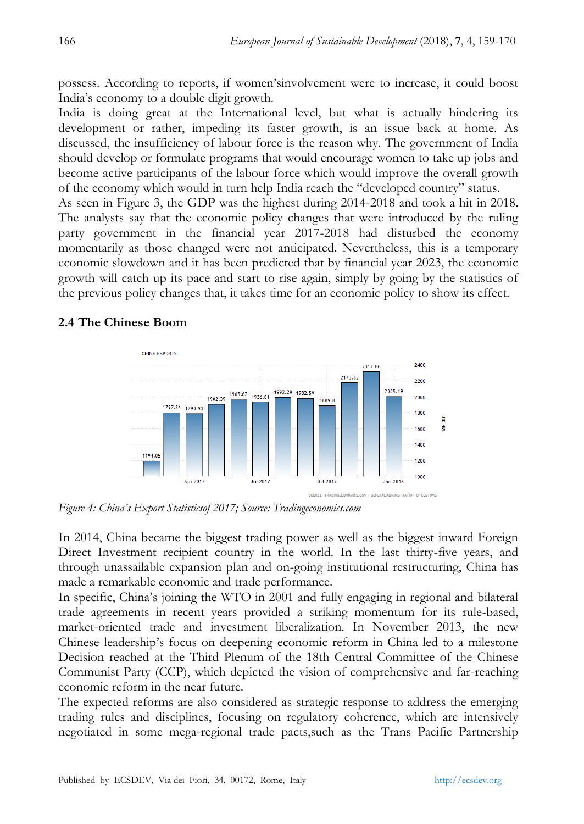possess. According to reports, if women'sinvolvement were to increase, it could boost India's economy to a double digit growth.

India is doing great at the International level, but what is actually hindering its development or rather, impeding its faster growth, is an issue back at home. As discussed, the insufficiency of labour force is the reason why. The government of India should develop or formulate programs that would encourage women to take up jobs and become active participants of the labour force which would improve the overall growth of the economy which would in turn help India reach the "developed country" status.

As seen in Figure 3, the GDP was the highest during 2014-2018 and took a hit in 2018. The analysts say that the economic policy changes that were introduced by the ruling party government in the financial year 2017-2018 had disturbed the economy momentarily as those changed were not anticipated. Nevertheless, this is a temporary economic slowdown and it has been predicted that by financial year 2023, the economic growth will catch up its pace and start to rise again, simply by going by the statistics of the previous policy changes that, it takes time for an economic policy to show its effect.

## **2.4 The Chinese Boom**



*Figure 4: China's Export Statisticsof 2017; Source: Tradingeconomics.com*

In 2014, China became the biggest trading power as well as the biggest inward Foreign Direct Investment recipient country in the world. In the last thirty-five years, and through unassailable expansion plan and on-going institutional restructuring, China has made a remarkable economic and trade performance.

In specific, China's joining the WTO in 2001 and fully engaging in regional and bilateral trade agreements in recent years provided a striking momentum for its rule-based, market-oriented trade and investment liberalization. In November 2013, the new Chinese leadership's focus on deepening economic reform in China led to a milestone Decision reached at the Third Plenum of the 18th Central Committee of the Chinese Communist Party (CCP), which depicted the vision of comprehensive and far-reaching economic reform in the near future.

The expected reforms are also considered as strategic response to address the emerging trading rules and disciplines, focusing on regulatory coherence, which are intensively negotiated in some mega-regional trade pacts,such as the Trans Pacific Partnership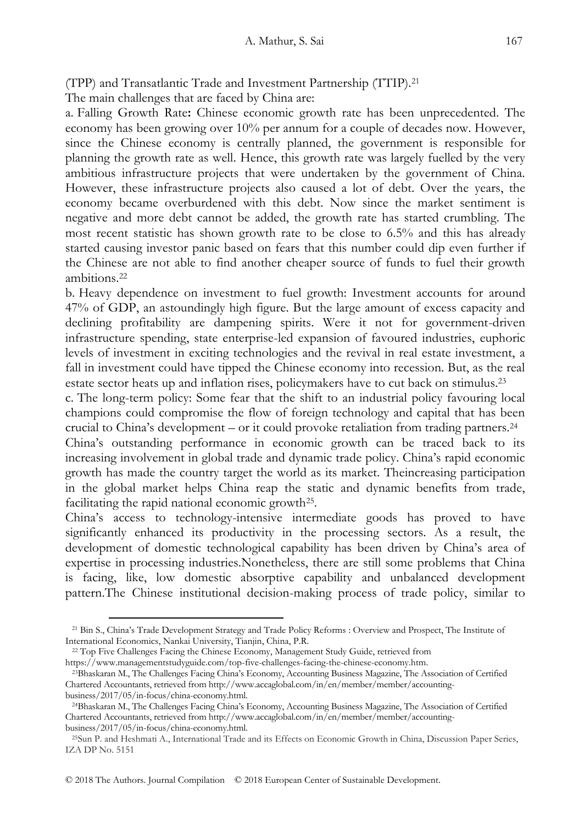(TPP) and Transatlantic Trade and Investment Partnership (TTIP).<sup>21</sup>

The main challenges that are faced by China are:

a. Falling Growth Rate**:** Chinese economic growth rate has been unprecedented. The economy has been growing over 10% per annum for a couple of decades now. However, since the Chinese economy is centrally planned, the government is responsible for planning the growth rate as well. Hence, this growth rate was largely fuelled by the very ambitious infrastructure projects that were undertaken by the government of China. However, these infrastructure projects also caused a lot of debt. Over the years, the economy became overburdened with this debt. Now since the market sentiment is negative and more debt cannot be added, the growth rate has started crumbling. The most recent statistic has shown growth rate to be close to 6.5% and this has already started causing investor panic based on fears that this number could dip even further if the Chinese are not able to find another cheaper source of funds to fuel their growth ambitions.<sup>22</sup>

b. Heavy dependence on investment to fuel growth: Investment accounts for around 47% of GDP, an astoundingly high figure. But the large amount of excess capacity and declining profitability are dampening spirits. Were it not for government-driven infrastructure spending, state enterprise-led expansion of favoured industries, euphoric levels of investment in exciting technologies and the revival in real estate investment, a fall in investment could have tipped the Chinese economy into recession. But, as the real estate sector heats up and inflation rises, policymakers have to cut back on stimulus.<sup>23</sup>

c. The long-term policy: Some fear that the shift to an industrial policy favouring local champions could compromise the flow of foreign technology and capital that has been crucial to China's development – or it could provoke retaliation from trading partners.<sup>24</sup>

China's outstanding performance in economic growth can be traced back to its increasing involvement in global trade and dynamic trade policy. China's rapid economic growth has made the country target the world as its market. Theincreasing participation in the global market helps China reap the static and dynamic benefits from trade, facilitating the rapid national economic growth<sup>25</sup>.

China's access to technology-intensive intermediate goods has proved to have significantly enhanced its productivity in the processing sectors. As a result, the development of domestic technological capability has been driven by China's area of expertise in processing industries.Nonetheless, there are still some problems that China is facing, like, low domestic absorptive capability and unbalanced development pattern.The Chinese institutional decision-making process of trade policy, similar to

-

<sup>21</sup> Bin S., China's Trade Development Strategy and Trade Policy Reforms : Overview and Prospect, The Institute of International Economics, Nankai University, Tianjin, China, P.R.

<sup>22</sup> Top Five Challenges Facing the Chinese Economy, Management Study Guide, retrieved from https://www.managementstudyguide.com/top-five-challenges-facing-the-chinese-economy.htm.

<sup>23</sup>Bhaskaran M., The Challenges Facing China's Economy, Accounting Business Magazine, The Association of Certified Chartered Accountants, retrieved from http://www.accaglobal.com/in/en/member/member/accountingbusiness/2017/05/in-focus/china-economy.html.

<sup>24</sup>Bhaskaran M., The Challenges Facing China's Economy, Accounting Business Magazine, The Association of Certified Chartered Accountants, retrieved from http://www.accaglobal.com/in/en/member/member/accountingbusiness/2017/05/in-focus/china-economy.html.

<sup>25</sup>Sun P. and Heshmati A., International Trade and its Effects on Economic Growth in China, Discussion Paper Series, IZA DP No. 5151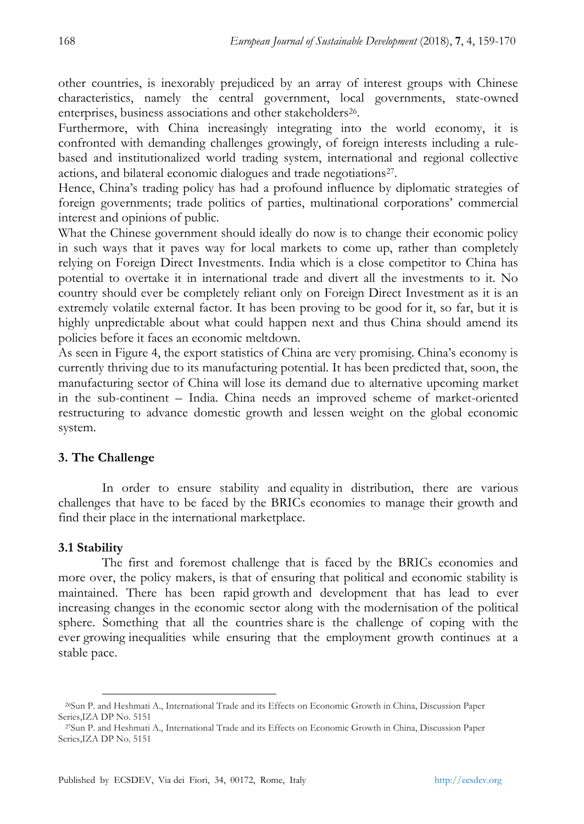other countries, is inexorably prejudiced by an array of interest groups with Chinese characteristics, namely the central government, local governments, state-owned enterprises, business associations and other stakeholders<sup>26</sup>.

Furthermore, with China increasingly integrating into the world economy, it is confronted with demanding challenges growingly, of foreign interests including a rulebased and institutionalized world trading system, international and regional collective actions, and bilateral economic dialogues and trade negotiations<sup>27</sup>.

Hence, China's trading policy has had a profound influence by diplomatic strategies of foreign governments; trade politics of parties, multinational corporations' commercial interest and opinions of public.

What the Chinese government should ideally do now is to change their economic policy in such ways that it paves way for local markets to come up, rather than completely relying on Foreign Direct Investments. India which is a close competitor to China has potential to overtake it in international trade and divert all the investments to it. No country should ever be completely reliant only on Foreign Direct Investment as it is an extremely volatile external factor. It has been proving to be good for it, so far, but it is highly unpredictable about what could happen next and thus China should amend its policies before it faces an economic meltdown.

As seen in Figure 4, the export statistics of China are very promising. China's economy is currently thriving due to its manufacturing potential. It has been predicted that, soon, the manufacturing sector of China will lose its demand due to alternative upcoming market in the sub-continent – India. China needs an improved scheme of market-oriented restructuring to advance domestic growth and lessen weight on the global economic system.

### **3. The Challenge**

In order to ensure stability and equality in distribution, there are various challenges that have to be faced by the BRICs economies to manage their growth and find their place in the international marketplace.

### **3.1 Stability**

The first and foremost challenge that is faced by the BRICs economies and more over, the policy makers, is that of ensuring that political and economic stability is maintained. There has been rapid growth and development that has lead to ever increasing changes in the economic sector along with the modernisation of the political sphere. Something that all the countries share is the challenge of coping with the ever growing inequalities while ensuring that the employment growth continues at a stable pace.

 $\overline{a}$ <sup>26</sup>Sun P. and Heshmati A., International Trade and its Effects on Economic Growth in China, Discussion Paper Series,IZA DP No. 5151

<sup>27</sup>Sun P. and Heshmati A., International Trade and its Effects on Economic Growth in China, Discussion Paper Series,IZA DP No. 5151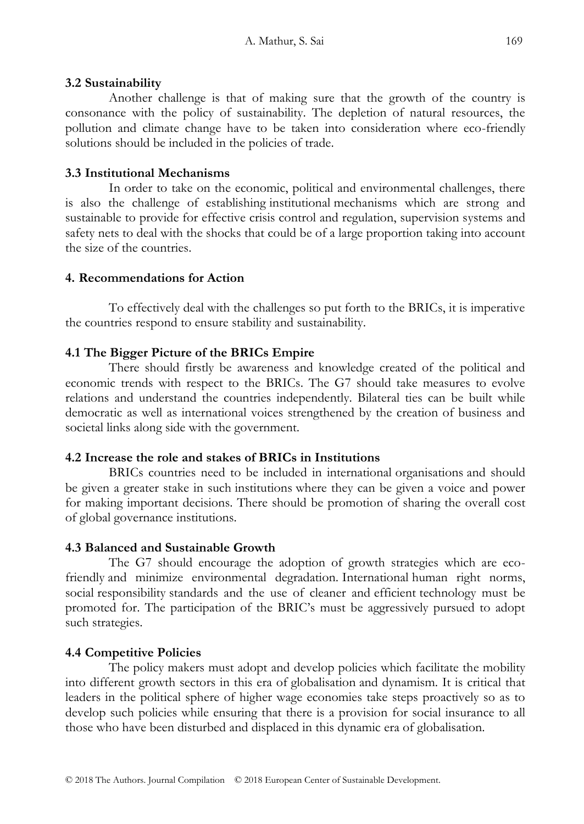#### **3.2 Sustainability**

Another challenge is that of making sure that the growth of the country is consonance with the policy of sustainability. The depletion of natural resources, the pollution and climate change have to be taken into consideration where eco-friendly solutions should be included in the policies of trade.

### **3.3 Institutional Mechanisms**

In order to take on the economic, political and environmental challenges, there is also the challenge of establishing institutional mechanisms which are strong and sustainable to provide for effective crisis control and regulation, supervision systems and safety nets to deal with the shocks that could be of a large proportion taking into account the size of the countries.

### **4. Recommendations for Action**

To effectively deal with the challenges so put forth to the BRICs, it is imperative the countries respond to ensure stability and sustainability.

## **4.1 The Bigger Picture of the BRICs Empire**

There should firstly be awareness and knowledge created of the political and economic trends with respect to the BRICs. The G7 should take measures to evolve relations and understand the countries independently. Bilateral ties can be built while democratic as well as international voices strengthened by the creation of business and societal links along side with the government.

### **4.2 Increase the role and stakes of BRICs in Institutions**

BRICs countries need to be included in international organisations and should be given a greater stake in such institutions where they can be given a voice and power for making important decisions. There should be promotion of sharing the overall cost of global governance institutions.

### **4.3 Balanced and Sustainable Growth**

The G7 should encourage the adoption of growth strategies which are ecofriendly and minimize environmental degradation. International human right norms, social responsibility standards and the use of cleaner and efficient technology must be promoted for. The participation of the BRIC's must be aggressively pursued to adopt such strategies.

# **4.4 Competitive Policies**

The policy makers must adopt and develop policies which facilitate the mobility into different growth sectors in this era of globalisation and dynamism. It is critical that leaders in the political sphere of higher wage economies take steps proactively so as to develop such policies while ensuring that there is a provision for social insurance to all those who have been disturbed and displaced in this dynamic era of globalisation.